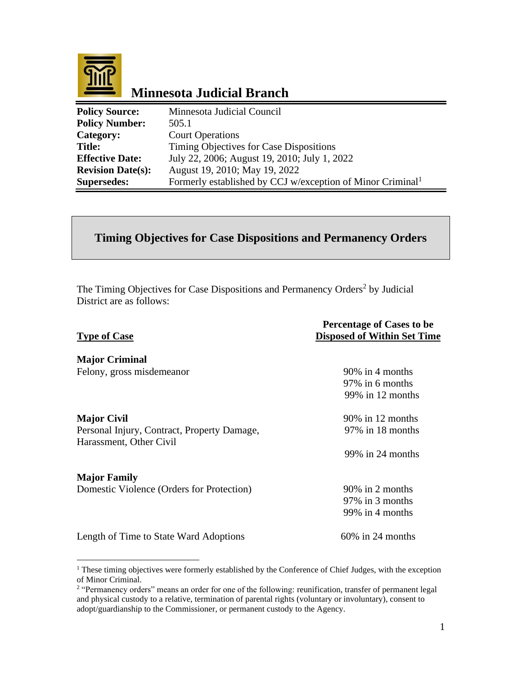

## **Minnesota Judicial Branch**

| <b>Policy Source:</b>    | Minnesota Judicial Council                                             |
|--------------------------|------------------------------------------------------------------------|
| <b>Policy Number:</b>    | 505.1                                                                  |
| Category:                | <b>Court Operations</b>                                                |
| <b>Title:</b>            | Timing Objectives for Case Dispositions                                |
| <b>Effective Date:</b>   | July 22, 2006; August 19, 2010; July 1, 2022                           |
| <b>Revision Date(s):</b> | August 19, 2010; May 19, 2022                                          |
| <b>Supersedes:</b>       | Formerly established by CCJ w/exception of Minor Criminal <sup>1</sup> |

## **Timing Objectives for Case Dispositions and Permanency Orders**

The Timing Objectives for Case Dispositions and Permanency Orders<sup>2</sup> by Judicial District are as follows:

| <b>Type of Case</b>                                                    | <b>Percentage of Cases to be</b><br><b>Disposed of Within Set Time</b> |
|------------------------------------------------------------------------|------------------------------------------------------------------------|
| <b>Major Criminal</b>                                                  |                                                                        |
| Felony, gross misdemeanor                                              | 90% in 4 months                                                        |
|                                                                        | 97% in 6 months                                                        |
|                                                                        | 99% in 12 months                                                       |
| <b>Major Civil</b>                                                     | 90% in 12 months                                                       |
| Personal Injury, Contract, Property Damage,<br>Harassment, Other Civil | 97% in 18 months                                                       |
|                                                                        | 99% in 24 months                                                       |
| <b>Major Family</b>                                                    |                                                                        |
| Domestic Violence (Orders for Protection)                              | 90% in 2 months                                                        |
|                                                                        | 97% in 3 months                                                        |
|                                                                        | 99% in 4 months                                                        |
| Length of Time to State Ward Adoptions                                 | $60\%$ in 24 months                                                    |

<sup>&</sup>lt;sup>1</sup> These timing objectives were formerly established by the Conference of Chief Judges, with the exception of Minor Criminal.

<sup>&</sup>lt;sup>2</sup> "Permanency orders" means an order for one of the following: reunification, transfer of permanent legal and physical custody to a relative, termination of parental rights (voluntary or involuntary), consent to adopt/guardianship to the Commissioner, or permanent custody to the Agency.